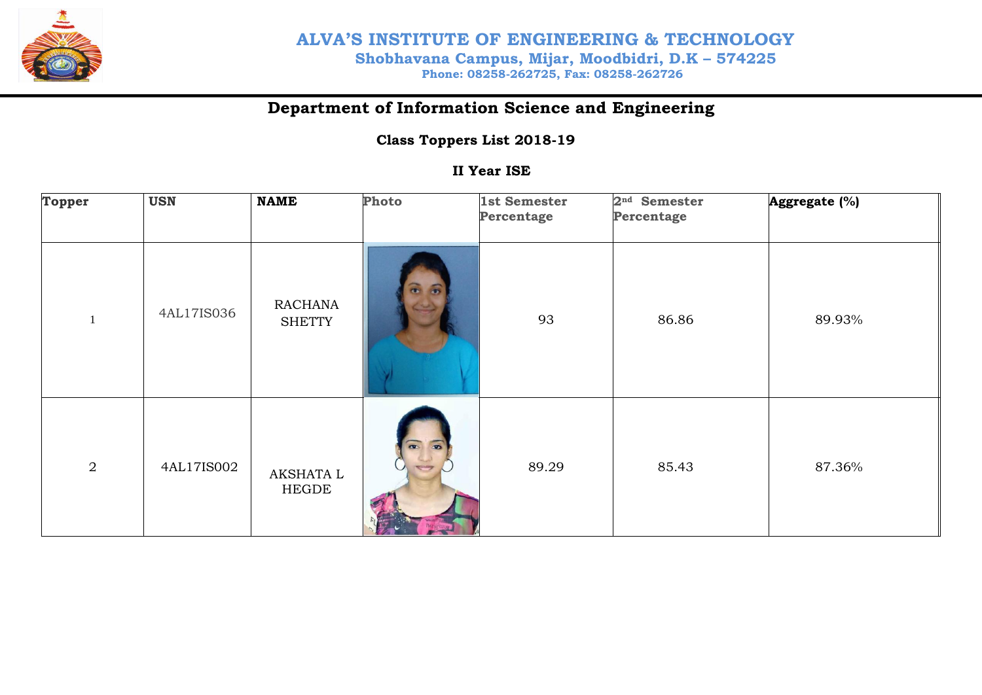

### **Department of Information Science and Engineering**

#### **Class Toppers List 2018-19**

#### **II Year ISE**

| <b>Topper</b> | <b>USN</b> | <b>NAME</b>                     | Photo                                                    | 1st Semester<br>Percentage | 2 <sup>nd</sup> Semester<br>Percentage | Aggregate (%) |
|---------------|------------|---------------------------------|----------------------------------------------------------|----------------------------|----------------------------------------|---------------|
| $\mathbf{1}$  | 4AL17IS036 | <b>RACHANA</b><br><b>SHETTY</b> |                                                          | 93                         | 86.86                                  | 89.93%        |
| $\mathbf{2}$  | 4AL17IS002 | AKSHATA L<br><b>HEGDE</b>       | $\overline{a}$<br>$\overline{\bullet}$<br><b>TESTING</b> | 89.29                      | 85.43                                  | 87.36%        |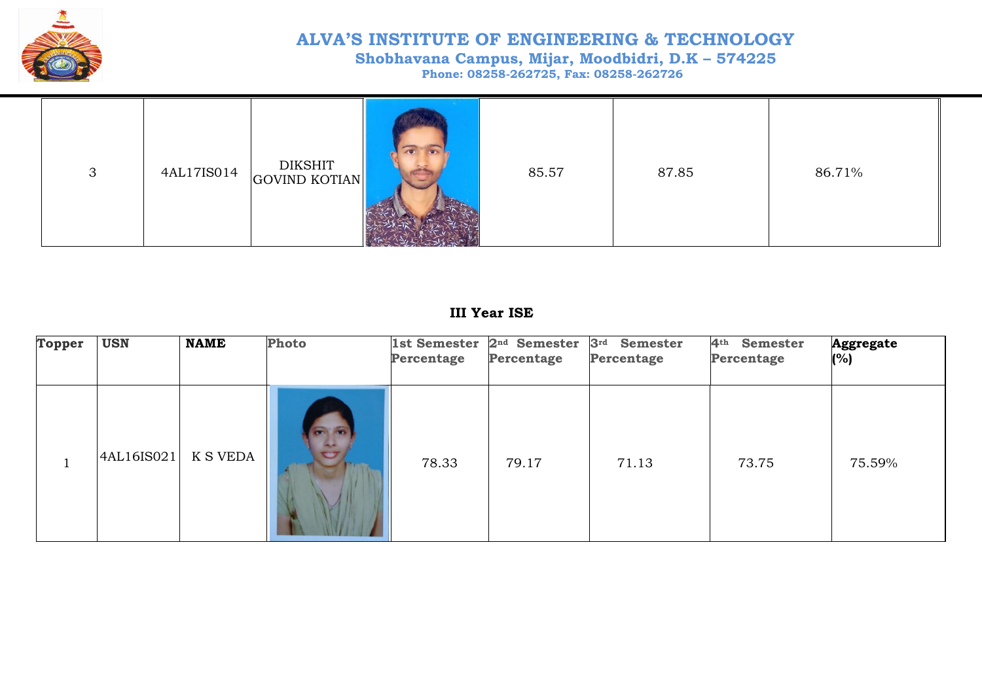

# **ALVA'S INSTITUTE OF ENGINEERING & TECHNOLOGY Shobhavana Campus, Mijar, Moodbidri, D.K – 574225**

 **Phone: 08258-262725, Fax: 08258-262726**

| 3 |  | 4AL17IS014 DIKSHIT |  | 85.57 | 87.85 | 86.71% |  |
|---|--|--------------------|--|-------|-------|--------|--|
|---|--|--------------------|--|-------|-------|--------|--|

#### **III Year ISE**

| <b>Topper</b> | <b>USN</b> | <b>NAME</b>     | Photo                                | 1st Semester<br>Percentage | 2 <sup>nd</sup> Semester<br>Percentage | 3 <sup>rd</sup><br><b>Semester</b><br>Percentage | 4 <sup>th</sup><br>Semester<br>Percentage | <b>Aggregate</b><br>(%) |
|---------------|------------|-----------------|--------------------------------------|----------------------------|----------------------------------------|--------------------------------------------------|-------------------------------------------|-------------------------|
|               | 4AL16IS021 | <b>K S VEDA</b> | <b>CONTRACTOR</b><br>a.<br>$\bullet$ | 78.33                      | 79.17                                  | 71.13                                            | 73.75                                     | 75.59%                  |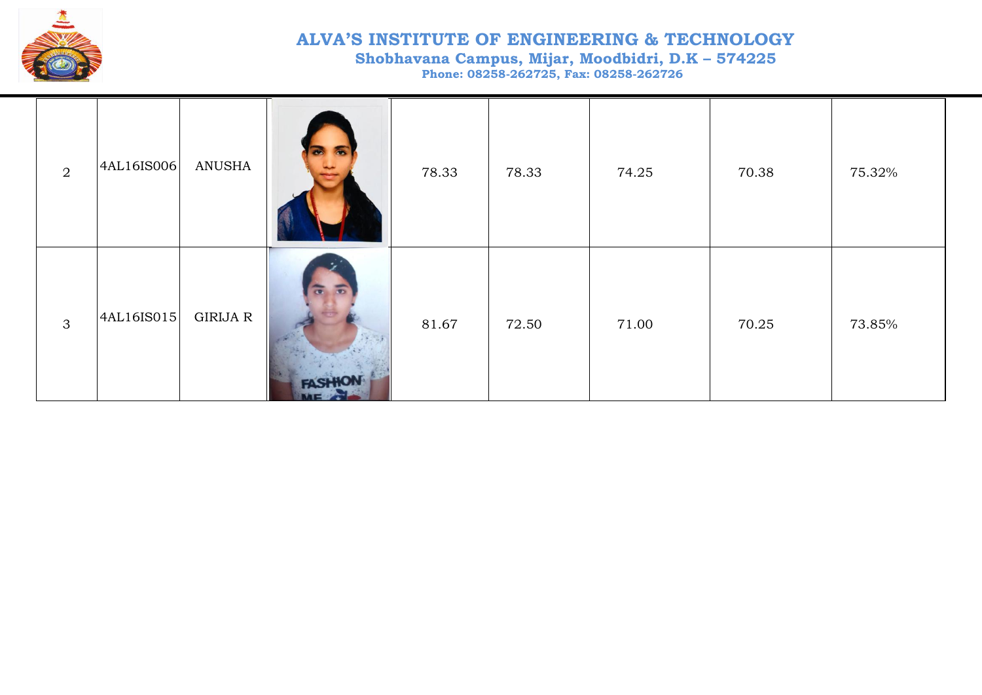

## **ALVA'S INSTITUTE OF ENGINEERING & TECHNOLOGY**

 **Shobhavana Campus, Mijar, Moodbidri, D.K – 574225**

 **Phone: 08258-262725, Fax: 08258-262726**

| $\overline{2}$ | 4AL16IS006 | ANUSHA   |                                                                     | 78.33 | 78.33 | 74.25 | 70.38 | 75.32% |
|----------------|------------|----------|---------------------------------------------------------------------|-------|-------|-------|-------|--------|
| 3              | 4AL16IS015 | GIRIJA R | $\overline{a}$ $\overline{b}$<br><b>FASHIO</b><br><b>INTERATION</b> | 81.67 | 72.50 | 71.00 | 70.25 | 73.85% |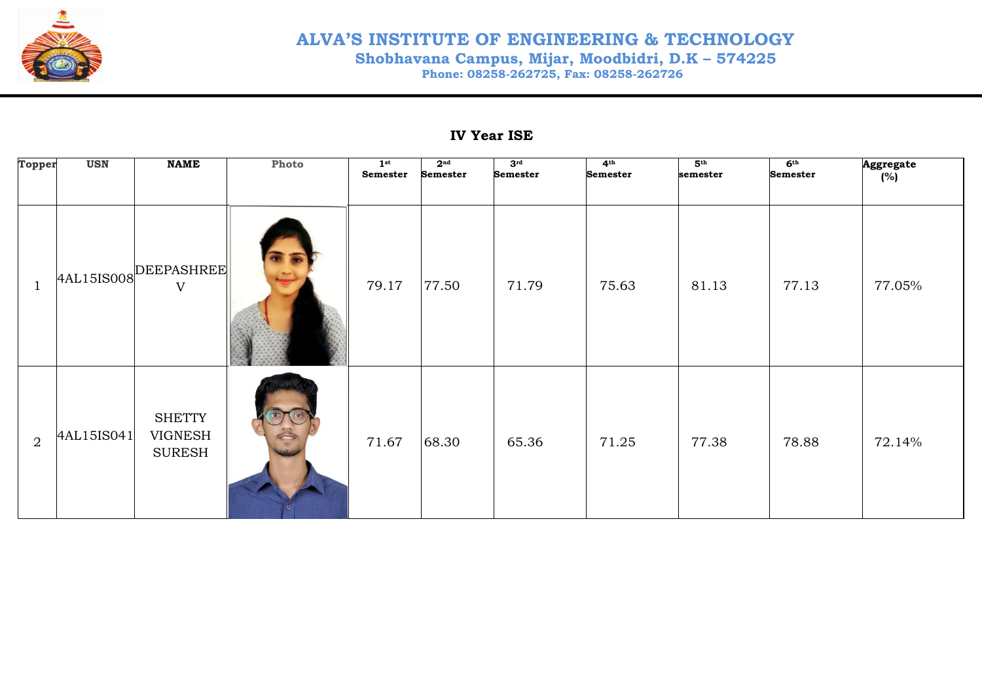

#### **ALVA'S INSTITUTE OF ENGINEERING & TECHNOLOGY Shobhavana Campus, Mijar, Moodbidri, D.K – 574225 Phone: 08258-262725, Fax: 08258-262726**

#### **IV Year ISE**

| Topper         | <b>USN</b> | <b>NAME</b>                               | Photo | 1 <sup>st</sup><br>Semester | 2 <sup>nd</sup><br><b>Semester</b> | 3 <sup>rd</sup><br><b>Semester</b> | 4 <sup>th</sup><br><b>Semester</b> | 5 <sup>th</sup><br>semester | 6 <sup>th</sup><br><b>Semester</b> | Aggregate<br>(%) |
|----------------|------------|-------------------------------------------|-------|-----------------------------|------------------------------------|------------------------------------|------------------------------------|-----------------------------|------------------------------------|------------------|
| $\overline{1}$ | 4AL15IS008 | DEEPASHREE<br>$\mathbf V$                 |       | 79.17                       | 77.50                              | 71.79                              | 75.63                              | 81.13                       | 77.13                              | 77.05%           |
| 2              | 4AL15IS041 | <b>SHETTY</b><br>VIGNESH<br><b>SURESH</b> |       | 71.67                       | 68.30                              | 65.36                              | 71.25                              | 77.38                       | 78.88                              | 72.14%           |